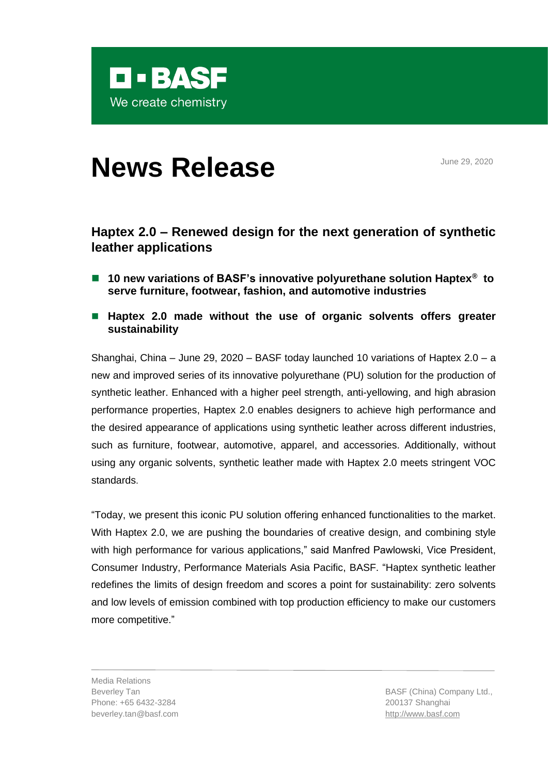

# **News Release** June 29, 2020

# **Haptex 2.0 – Renewed design for the next generation of synthetic leather applications**

- 10 new variations of BASF's innovative polyurethane solution Haptex<sup>®</sup> to **serve furniture, footwear, fashion, and automotive industries**
- Haptex 2.0 made without the use of organic solvents offers greater **sustainability**

Shanghai, China – June 29, 2020 – BASF today launched 10 variations of Haptex 2.0 – a new and improved series of its innovative polyurethane (PU) solution for the production of synthetic leather. Enhanced with a higher peel strength, anti-yellowing, and high abrasion performance properties, Haptex 2.0 enables designers to achieve high performance and the desired appearance of applications using synthetic leather across different industries, such as furniture, footwear, automotive, apparel, and accessories. Additionally, without using any organic solvents, synthetic leather made with Haptex 2.0 meets stringent VOC standards.

"Today, we present this iconic PU solution offering enhanced functionalities to the market. With Haptex 2.0, we are pushing the boundaries of creative design, and combining style with high performance for various applications," said Manfred Pawlowski, Vice President, Consumer Industry, Performance Materials Asia Pacific, BASF. "Haptex synthetic leather redefines the limits of design freedom and scores a point for sustainability: zero solvents and low levels of emission combined with top production efficiency to make our customers more competitive."

Media Relations Beverley Tan Phone: +65 6432-3284 beverley.tan@basf.com

BASF (China) Company Ltd., 200137 Shanghai [http://www.basf.com](http://www.basf.com/)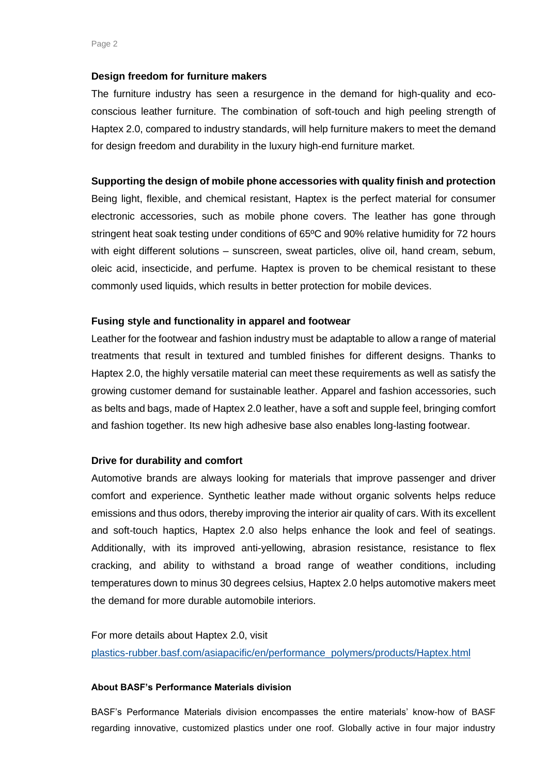## **Design freedom for furniture makers**

The furniture industry has seen a resurgence in the demand for high-quality and ecoconscious leather furniture. The combination of soft-touch and high peeling strength of Haptex 2.0, compared to industry standards, will help furniture makers to meet the demand for design freedom and durability in the luxury high-end furniture market.

# **Supporting the design of mobile phone accessories with quality finish and protection**

Being light, flexible, and chemical resistant, Haptex is the perfect material for consumer electronic accessories, such as mobile phone covers. The leather has gone through stringent heat soak testing under conditions of 65ºC and 90% relative humidity for 72 hours with eight different solutions – sunscreen, sweat particles, olive oil, hand cream, sebum, oleic acid, insecticide, and perfume. Haptex is proven to be chemical resistant to these commonly used liquids, which results in better protection for mobile devices.

# **Fusing style and functionality in apparel and footwear**

Leather for the footwear and fashion industry must be adaptable to allow a range of material treatments that result in textured and tumbled finishes for different designs. Thanks to Haptex 2.0, the highly versatile material can meet these requirements as well as satisfy the growing customer demand for sustainable leather. Apparel and fashion accessories, such as belts and bags, made of Haptex 2.0 leather, have a soft and supple feel, bringing comfort and fashion together. Its new high adhesive base also enables long-lasting footwear.

## **Drive for durability and comfort**

Automotive brands are always looking for materials that improve passenger and driver comfort and experience. Synthetic leather made without organic solvents helps reduce emissions and thus odors, thereby improving the interior air quality of cars. With its excellent and soft-touch haptics, Haptex 2.0 also helps enhance the look and feel of seatings. Additionally, with its improved anti-yellowing, abrasion resistance, resistance to flex cracking, and ability to withstand a broad range of weather conditions, including temperatures down to minus 30 degrees celsius, Haptex 2.0 helps automotive makers meet the demand for more durable automobile interiors.

For more details about Haptex 2.0, visit [plastics-rubber.basf.com/asiapacific/en/performance\\_polymers/products/Haptex.html](https://plastics-rubber.basf.com/asiapacific/en/performance_polymers/products/Haptex.html)

#### **About BASF's Performance Materials division**

BASF's Performance Materials division encompasses the entire materials' know-how of BASF regarding innovative, customized plastics under one roof. Globally active in four major industry